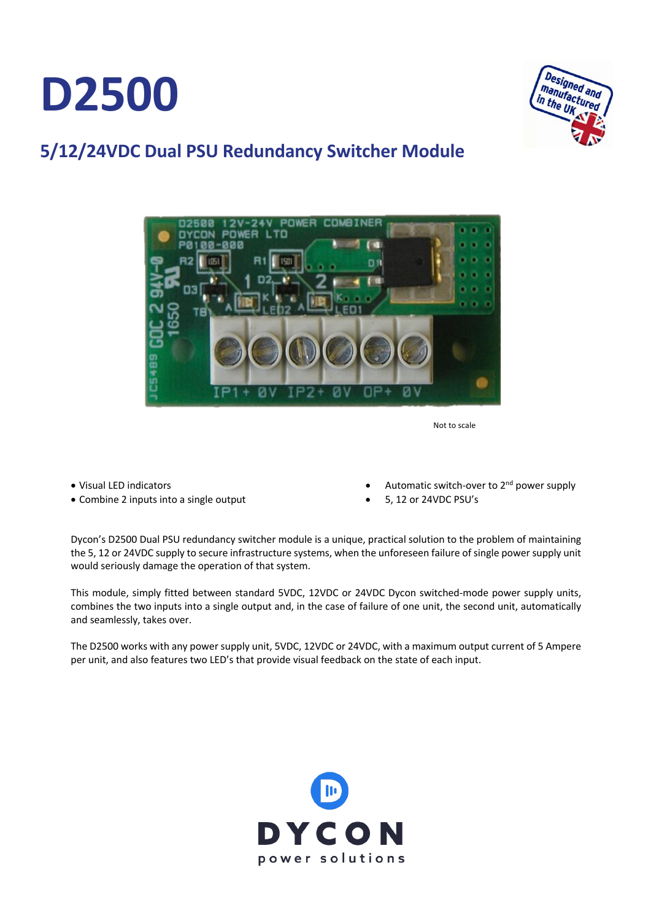**D2500**



## **5/12/24VDC Dual PSU Redundancy Switcher Module D241**



Not to scale

- Visual LED indicators
- Combine 2 inputs into a single output
- Automatic switch-over to  $2<sup>nd</sup>$  power supply
- 5, 12 or 24VDC PSU's

Dycon's D2500 Dual PSU redundancy switcher module is a unique, practical solution to the problem of maintaining the 5, 12 or 24VDC supply to secure infrastructure systems, when the unforeseen failure of single power supply unit would seriously damage the operation of that system.

This module, simply fitted between standard 5VDC, 12VDC or 24VDC Dycon switched-mode power supply units, combines the two inputs into a single output and, in the case of failure of one unit, the second unit, automatically and seamlessly, takes over.

The D2500 works with any power supply unit, 5VDC, 12VDC or 24VDC, with a maximum output current of 5 Ampere per unit, and also features two LED's that provide visual feedback on the state of each input.